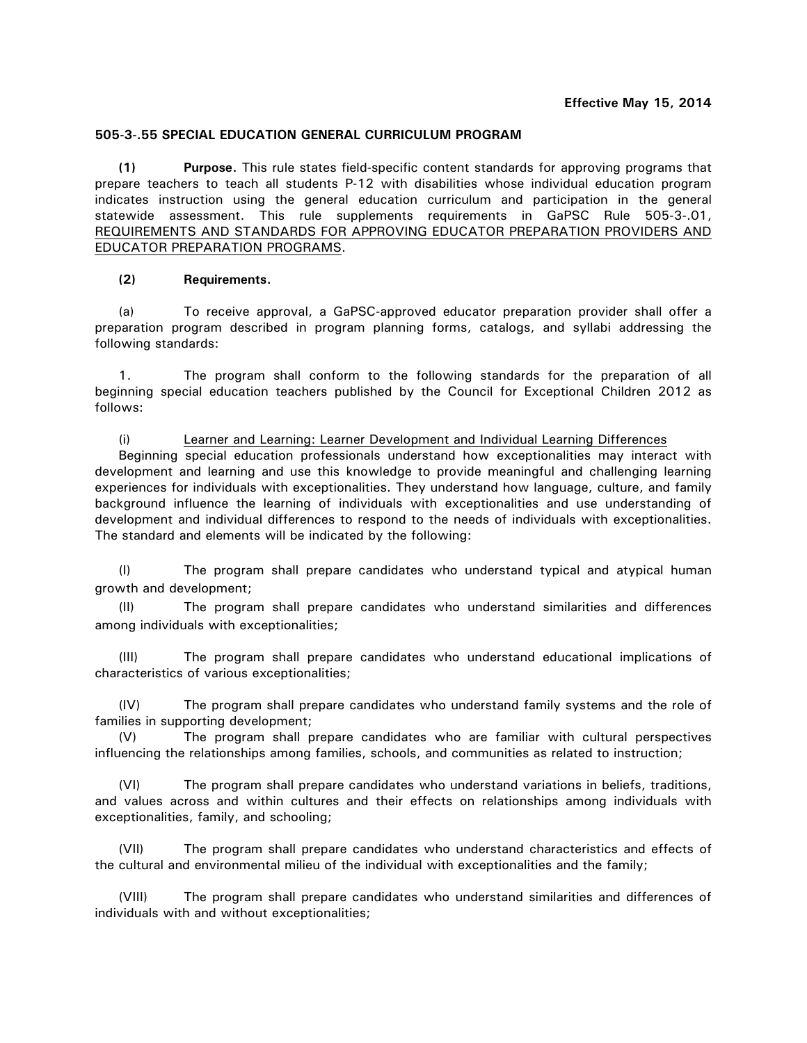# **505-3-.55 SPECIAL EDUCATION GENERAL CURRICULUM PROGRAM**

**(1) Purpose.** This rule states field-specific content standards for approving programs that prepare teachers to teach all students P-12 with disabilities whose individual education program indicates instruction using the general education curriculum and participation in the general statewide assessment. This rule supplements requirements in GaPSC Rule 505-3-.01, REQUIREMENTS AND STANDARDS FOR APPROVING EDUCATOR PREPARATION PROVIDERS AND EDUCATOR PREPARATION PROGRAMS.

# **(2) Requirements.**

(a) To receive approval, a GaPSC-approved educator preparation provider shall offer a preparation program described in program planning forms, catalogs, and syllabi addressing the following standards:

1. The program shall conform to the following standards for the preparation of all beginning special education teachers published by the Council for Exceptional Children 2012 as follows:

(i) Learner and Learning: Learner Development and Individual Learning Differences Beginning special education professionals understand how exceptionalities may interact with development and learning and use this knowledge to provide meaningful and challenging learning experiences for individuals with exceptionalities. They understand how language, culture, and family background influence the learning of individuals with exceptionalities and use understanding of development and individual differences to respond to the needs of individuals with exceptionalities. The standard and elements will be indicated by the following:

(I) The program shall prepare candidates who understand typical and atypical human growth and development;

(II) The program shall prepare candidates who understand similarities and differences among individuals with exceptionalities;

(III) The program shall prepare candidates who understand educational implications of characteristics of various exceptionalities;

(IV) The program shall prepare candidates who understand family systems and the role of families in supporting development;

(V) The program shall prepare candidates who are familiar with cultural perspectives influencing the relationships among families, schools, and communities as related to instruction;

(VI) The program shall prepare candidates who understand variations in beliefs, traditions, and values across and within cultures and their effects on relationships among individuals with exceptionalities, family, and schooling;

(VII) The program shall prepare candidates who understand characteristics and effects of the cultural and environmental milieu of the individual with exceptionalities and the family;

(VIII) The program shall prepare candidates who understand similarities and differences of individuals with and without exceptionalities;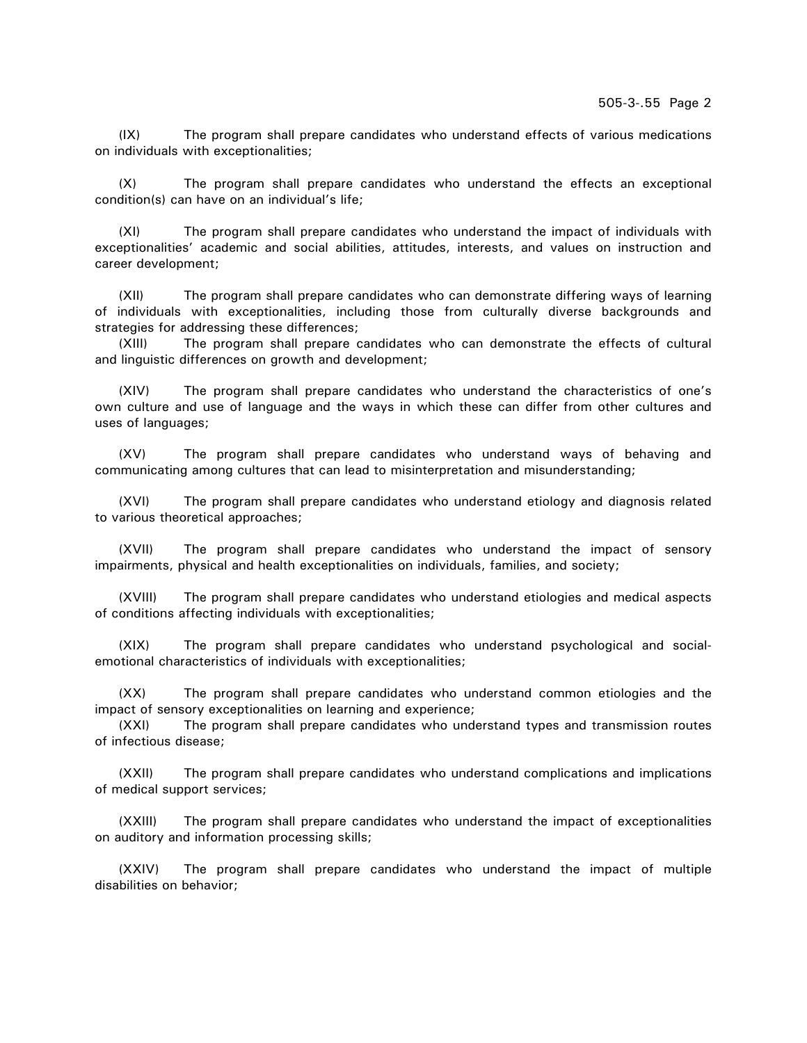(IX) The program shall prepare candidates who understand effects of various medications on individuals with exceptionalities;

(X) The program shall prepare candidates who understand the effects an exceptional condition(s) can have on an individual's life;

(XI) The program shall prepare candidates who understand the impact of individuals with exceptionalities' academic and social abilities, attitudes, interests, and values on instruction and career development;

(XII) The program shall prepare candidates who can demonstrate differing ways of learning of individuals with exceptionalities, including those from culturally diverse backgrounds and strategies for addressing these differences;

(XIII) The program shall prepare candidates who can demonstrate the effects of cultural and linguistic differences on growth and development;

(XIV) The program shall prepare candidates who understand the characteristics of one's own culture and use of language and the ways in which these can differ from other cultures and uses of languages;

(XV) The program shall prepare candidates who understand ways of behaving and communicating among cultures that can lead to misinterpretation and misunderstanding;

(XVI) The program shall prepare candidates who understand etiology and diagnosis related to various theoretical approaches;

(XVII) The program shall prepare candidates who understand the impact of sensory impairments, physical and health exceptionalities on individuals, families, and society;

(XVIII) The program shall prepare candidates who understand etiologies and medical aspects of conditions affecting individuals with exceptionalities;

(XIX) The program shall prepare candidates who understand psychological and socialemotional characteristics of individuals with exceptionalities;

(XX) The program shall prepare candidates who understand common etiologies and the impact of sensory exceptionalities on learning and experience;

(XXI) The program shall prepare candidates who understand types and transmission routes of infectious disease;

(XXII) The program shall prepare candidates who understand complications and implications of medical support services;

(XXIII) The program shall prepare candidates who understand the impact of exceptionalities on auditory and information processing skills;

(XXIV) The program shall prepare candidates who understand the impact of multiple disabilities on behavior;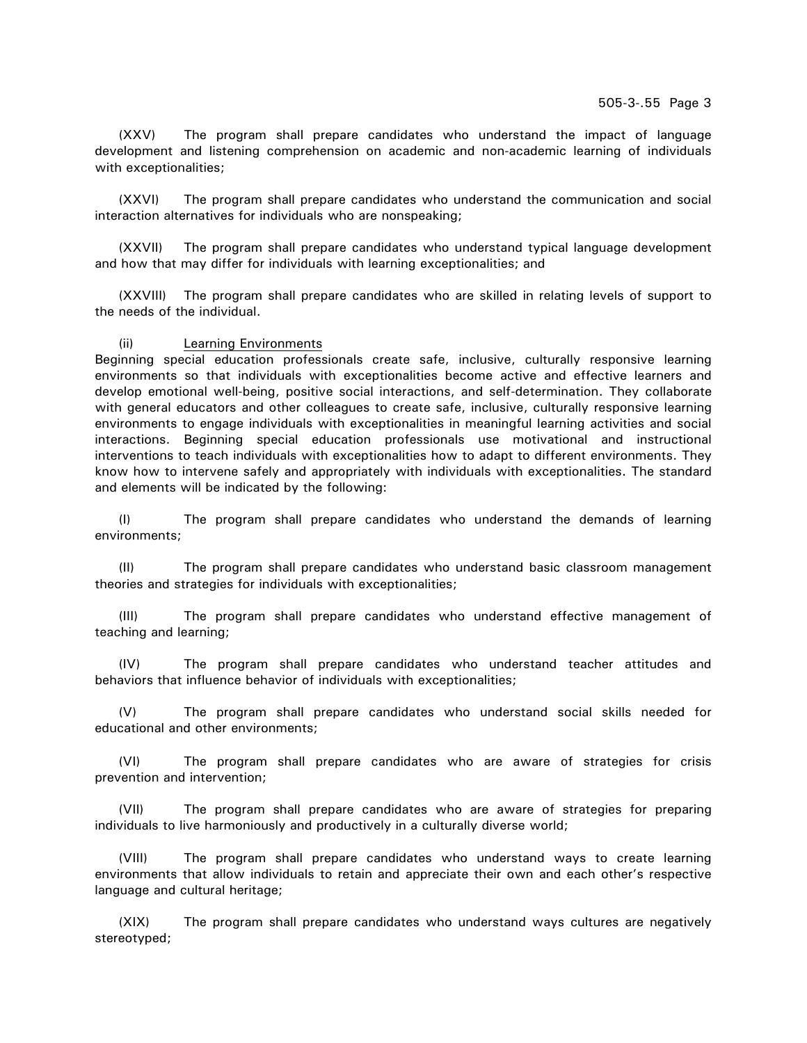(XXV) The program shall prepare candidates who understand the impact of language development and listening comprehension on academic and non-academic learning of individuals with exceptionalities;

(XXVI) The program shall prepare candidates who understand the communication and social interaction alternatives for individuals who are nonspeaking;

(XXVII) The program shall prepare candidates who understand typical language development and how that may differ for individuals with learning exceptionalities; and

(XXVIII) The program shall prepare candidates who are skilled in relating levels of support to the needs of the individual.

### (ii) Learning Environments

Beginning special education professionals create safe, inclusive, culturally responsive learning environments so that individuals with exceptionalities become active and effective learners and develop emotional well-being, positive social interactions, and self-determination. They collaborate with general educators and other colleagues to create safe, inclusive, culturally responsive learning environments to engage individuals with exceptionalities in meaningful learning activities and social interactions. Beginning special education professionals use motivational and instructional interventions to teach individuals with exceptionalities how to adapt to different environments. They know how to intervene safely and appropriately with individuals with exceptionalities. The standard and elements will be indicated by the following:

(I) The program shall prepare candidates who understand the demands of learning environments;

(II) The program shall prepare candidates who understand basic classroom management theories and strategies for individuals with exceptionalities;

(III) The program shall prepare candidates who understand effective management of teaching and learning;

(IV) The program shall prepare candidates who understand teacher attitudes and behaviors that influence behavior of individuals with exceptionalities;

(V) The program shall prepare candidates who understand social skills needed for educational and other environments;

(VI) The program shall prepare candidates who are aware of strategies for crisis prevention and intervention;

(VII) The program shall prepare candidates who are aware of strategies for preparing individuals to live harmoniously and productively in a culturally diverse world;

(VIII) The program shall prepare candidates who understand ways to create learning environments that allow individuals to retain and appreciate their own and each other's respective language and cultural heritage;

(XIX) The program shall prepare candidates who understand ways cultures are negatively stereotyped;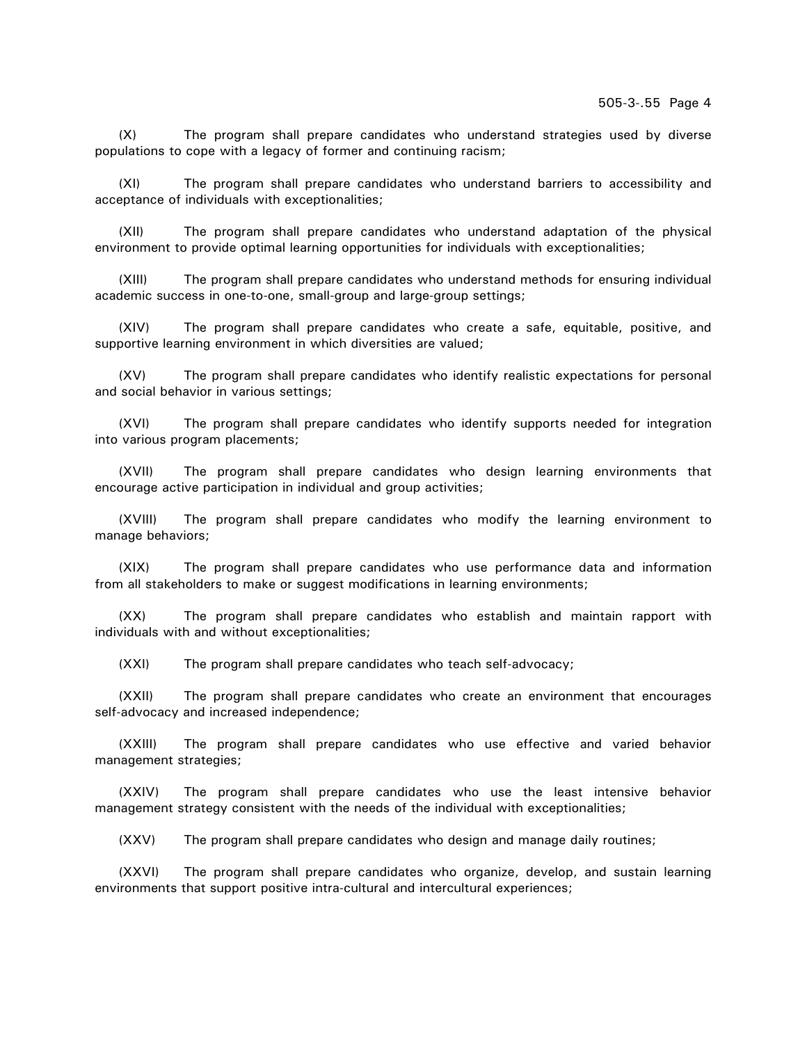(X) The program shall prepare candidates who understand strategies used by diverse populations to cope with a legacy of former and continuing racism;

(XI) The program shall prepare candidates who understand barriers to accessibility and acceptance of individuals with exceptionalities;

(XII) The program shall prepare candidates who understand adaptation of the physical environment to provide optimal learning opportunities for individuals with exceptionalities;

(XIII) The program shall prepare candidates who understand methods for ensuring individual academic success in one-to-one, small-group and large-group settings;

(XIV) The program shall prepare candidates who create a safe, equitable, positive, and supportive learning environment in which diversities are valued;

(XV) The program shall prepare candidates who identify realistic expectations for personal and social behavior in various settings;

(XVI) The program shall prepare candidates who identify supports needed for integration into various program placements;

(XVII) The program shall prepare candidates who design learning environments that encourage active participation in individual and group activities;

(XVIII) The program shall prepare candidates who modify the learning environment to manage behaviors;

(XIX) The program shall prepare candidates who use performance data and information from all stakeholders to make or suggest modifications in learning environments;

(XX) The program shall prepare candidates who establish and maintain rapport with individuals with and without exceptionalities;

(XXI) The program shall prepare candidates who teach self-advocacy;

(XXII) The program shall prepare candidates who create an environment that encourages self-advocacy and increased independence;

(XXIII) The program shall prepare candidates who use effective and varied behavior management strategies;

(XXIV) The program shall prepare candidates who use the least intensive behavior management strategy consistent with the needs of the individual with exceptionalities;

(XXV) The program shall prepare candidates who design and manage daily routines;

(XXVI) The program shall prepare candidates who organize, develop, and sustain learning environments that support positive intra-cultural and intercultural experiences;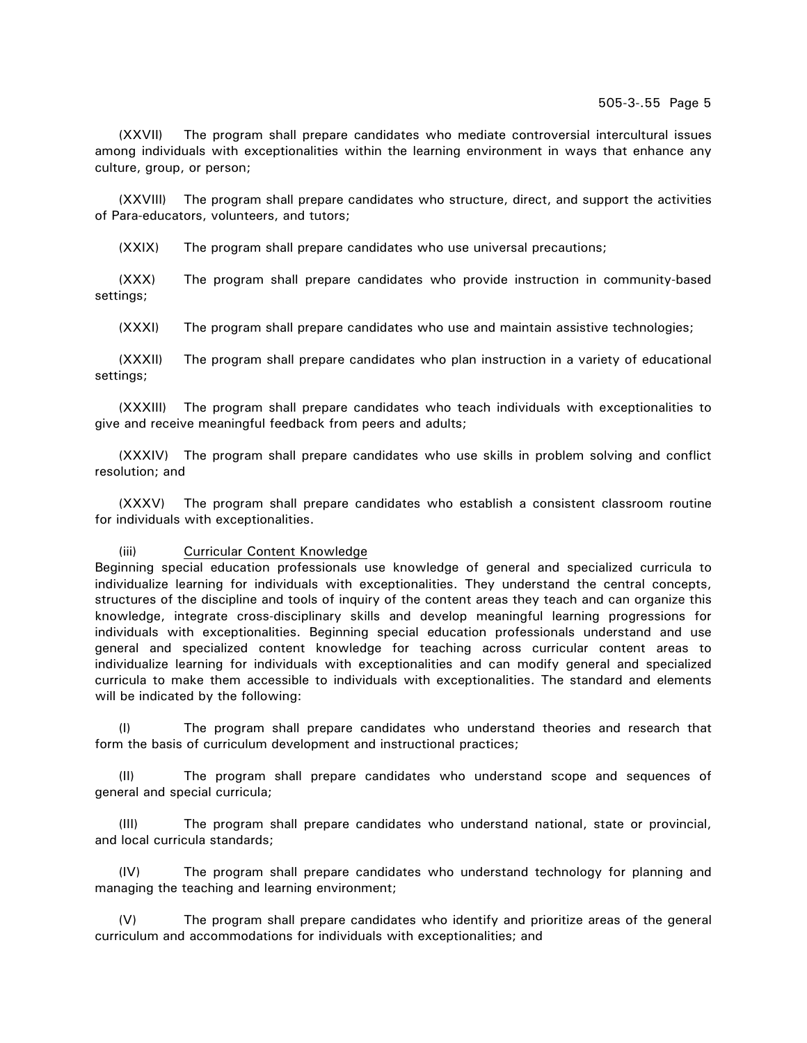(XXVII) The program shall prepare candidates who mediate controversial intercultural issues among individuals with exceptionalities within the learning environment in ways that enhance any culture, group, or person;

(XXVIII) The program shall prepare candidates who structure, direct, and support the activities of Para-educators, volunteers, and tutors;

(XXIX) The program shall prepare candidates who use universal precautions;

(XXX) The program shall prepare candidates who provide instruction in community-based settings;

(XXXI) The program shall prepare candidates who use and maintain assistive technologies;

(XXXII) The program shall prepare candidates who plan instruction in a variety of educational settings;

(XXXIII) The program shall prepare candidates who teach individuals with exceptionalities to give and receive meaningful feedback from peers and adults;

(XXXIV) The program shall prepare candidates who use skills in problem solving and conflict resolution; and

(XXXV) The program shall prepare candidates who establish a consistent classroom routine for individuals with exceptionalities.

### (iii) Curricular Content Knowledge

Beginning special education professionals use knowledge of general and specialized curricula to individualize learning for individuals with exceptionalities. They understand the central concepts, structures of the discipline and tools of inquiry of the content areas they teach and can organize this knowledge, integrate cross-disciplinary skills and develop meaningful learning progressions for individuals with exceptionalities. Beginning special education professionals understand and use general and specialized content knowledge for teaching across curricular content areas to individualize learning for individuals with exceptionalities and can modify general and specialized curricula to make them accessible to individuals with exceptionalities. The standard and elements will be indicated by the following:

(I) The program shall prepare candidates who understand theories and research that form the basis of curriculum development and instructional practices;

(II) The program shall prepare candidates who understand scope and sequences of general and special curricula;

(III) The program shall prepare candidates who understand national, state or provincial, and local curricula standards;

(IV) The program shall prepare candidates who understand technology for planning and managing the teaching and learning environment;

(V) The program shall prepare candidates who identify and prioritize areas of the general curriculum and accommodations for individuals with exceptionalities; and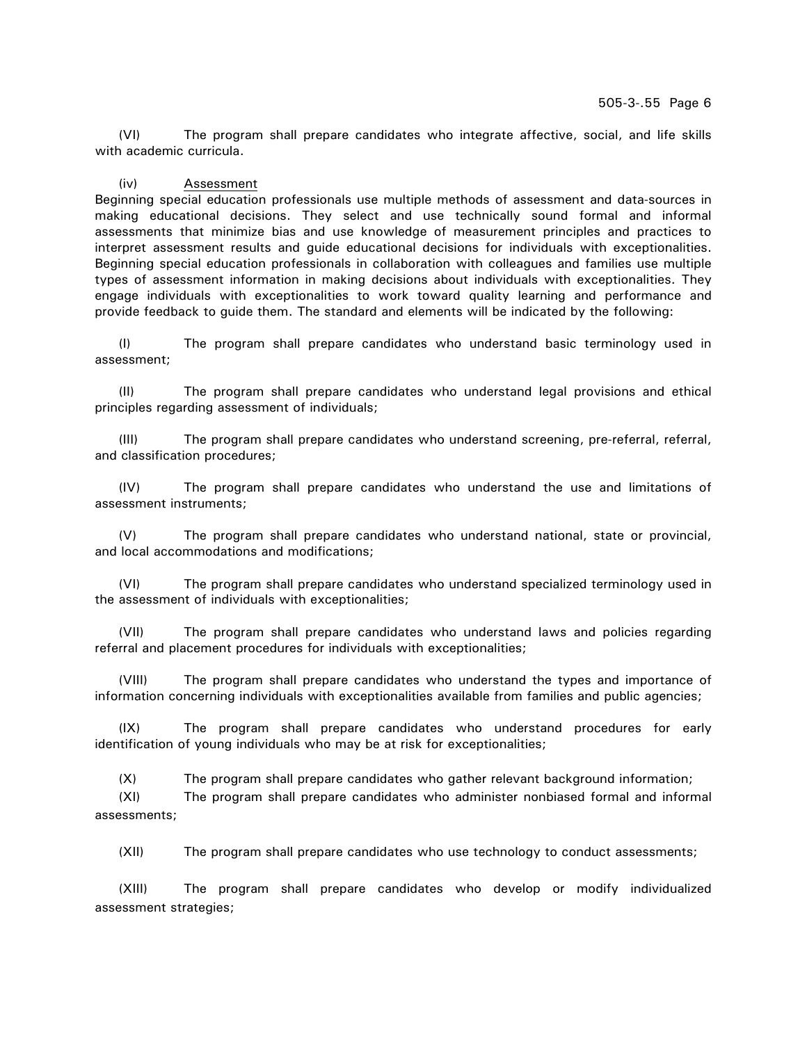(VI) The program shall prepare candidates who integrate affective, social, and life skills with academic curricula.

## (iv) Assessment

Beginning special education professionals use multiple methods of assessment and data-sources in making educational decisions. They select and use technically sound formal and informal assessments that minimize bias and use knowledge of measurement principles and practices to interpret assessment results and guide educational decisions for individuals with exceptionalities. Beginning special education professionals in collaboration with colleagues and families use multiple types of assessment information in making decisions about individuals with exceptionalities. They engage individuals with exceptionalities to work toward quality learning and performance and provide feedback to guide them. The standard and elements will be indicated by the following:

(I) The program shall prepare candidates who understand basic terminology used in assessment;

(II) The program shall prepare candidates who understand legal provisions and ethical principles regarding assessment of individuals;

(III) The program shall prepare candidates who understand screening, pre-referral, referral, and classification procedures;

(IV) The program shall prepare candidates who understand the use and limitations of assessment instruments;

(V) The program shall prepare candidates who understand national, state or provincial, and local accommodations and modifications;

(VI) The program shall prepare candidates who understand specialized terminology used in the assessment of individuals with exceptionalities;

(VII) The program shall prepare candidates who understand laws and policies regarding referral and placement procedures for individuals with exceptionalities;

(VIII) The program shall prepare candidates who understand the types and importance of information concerning individuals with exceptionalities available from families and public agencies;

(IX) The program shall prepare candidates who understand procedures for early identification of young individuals who may be at risk for exceptionalities;

(X) The program shall prepare candidates who gather relevant background information;

(XI) The program shall prepare candidates who administer nonbiased formal and informal assessments;

(XII) The program shall prepare candidates who use technology to conduct assessments;

(XIII) The program shall prepare candidates who develop or modify individualized assessment strategies;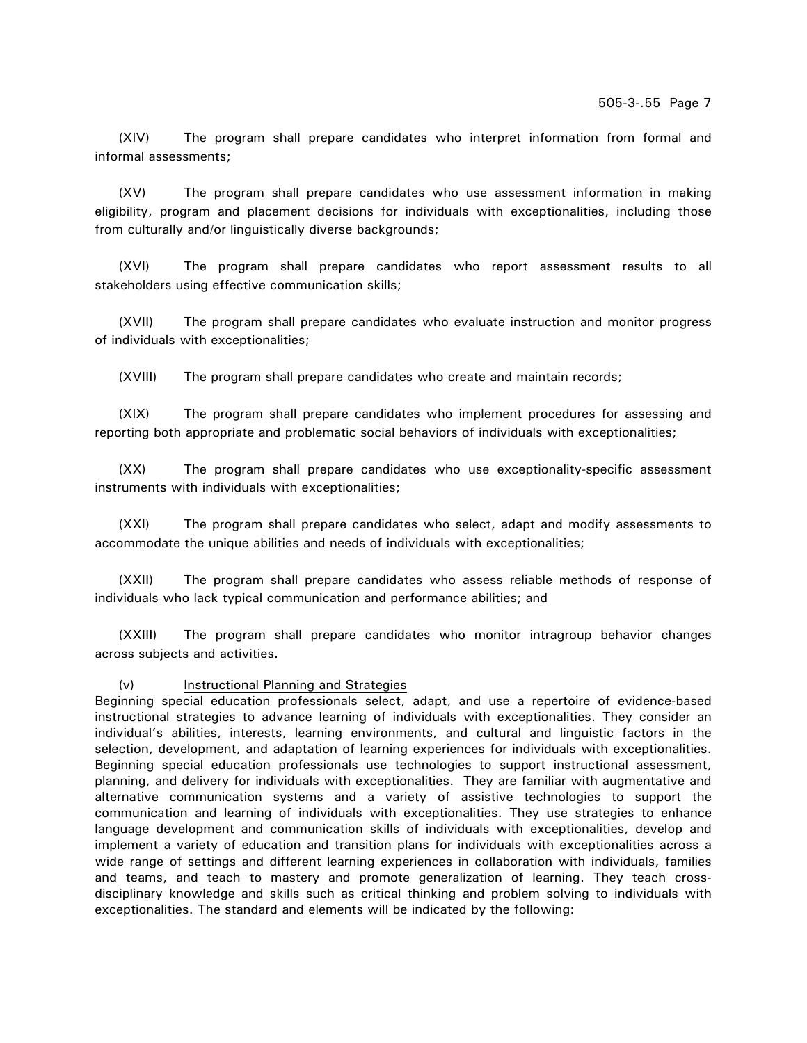(XIV) The program shall prepare candidates who interpret information from formal and informal assessments;

(XV) The program shall prepare candidates who use assessment information in making eligibility, program and placement decisions for individuals with exceptionalities, including those from culturally and/or linguistically diverse backgrounds;

(XVI) The program shall prepare candidates who report assessment results to all stakeholders using effective communication skills;

(XVII) The program shall prepare candidates who evaluate instruction and monitor progress of individuals with exceptionalities;

(XVIII) The program shall prepare candidates who create and maintain records;

(XIX) The program shall prepare candidates who implement procedures for assessing and reporting both appropriate and problematic social behaviors of individuals with exceptionalities;

(XX) The program shall prepare candidates who use exceptionality-specific assessment instruments with individuals with exceptionalities;

(XXI) The program shall prepare candidates who select, adapt and modify assessments to accommodate the unique abilities and needs of individuals with exceptionalities;

(XXII) The program shall prepare candidates who assess reliable methods of response of individuals who lack typical communication and performance abilities; and

(XXIII) The program shall prepare candidates who monitor intragroup behavior changes across subjects and activities.

(v) Instructional Planning and Strategies

Beginning special education professionals select, adapt, and use a repertoire of evidence-based instructional strategies to advance learning of individuals with exceptionalities. They consider an individual's abilities, interests, learning environments, and cultural and linguistic factors in the selection, development, and adaptation of learning experiences for individuals with exceptionalities. Beginning special education professionals use technologies to support instructional assessment, planning, and delivery for individuals with exceptionalities. They are familiar with augmentative and alternative communication systems and a variety of assistive technologies to support the communication and learning of individuals with exceptionalities. They use strategies to enhance language development and communication skills of individuals with exceptionalities, develop and implement a variety of education and transition plans for individuals with exceptionalities across a wide range of settings and different learning experiences in collaboration with individuals, families and teams, and teach to mastery and promote generalization of learning. They teach crossdisciplinary knowledge and skills such as critical thinking and problem solving to individuals with exceptionalities. The standard and elements will be indicated by the following: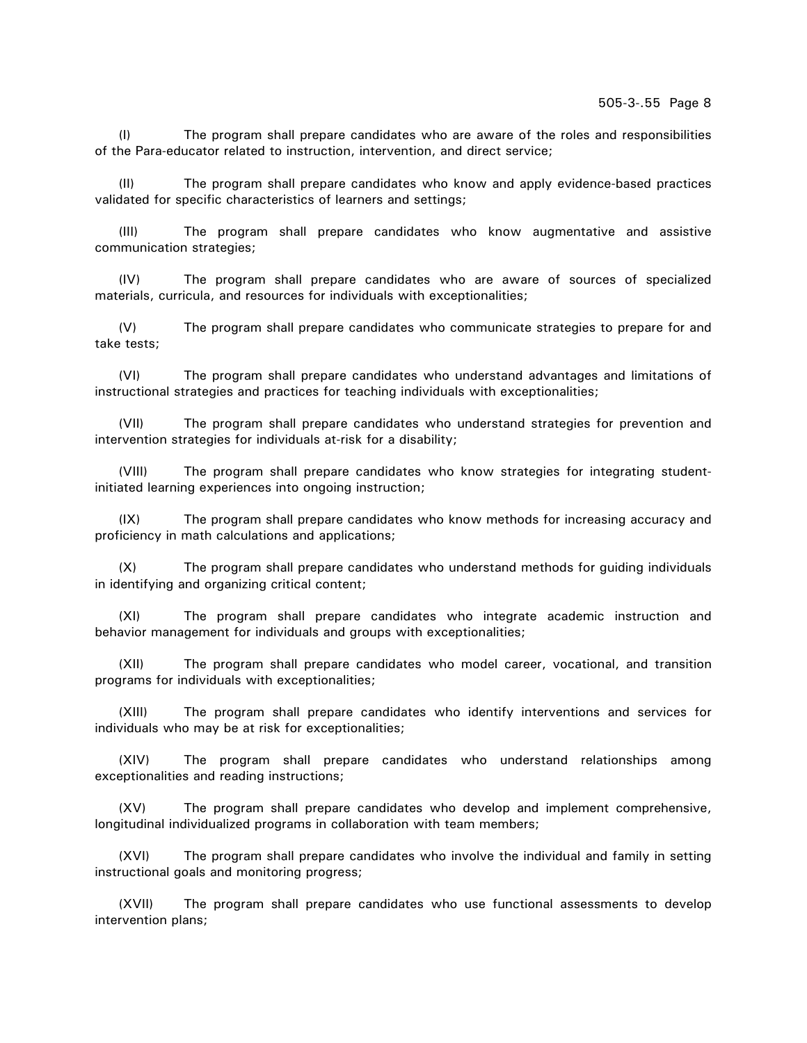(I) The program shall prepare candidates who are aware of the roles and responsibilities of the Para-educator related to instruction, intervention, and direct service;

(II) The program shall prepare candidates who know and apply evidence-based practices validated for specific characteristics of learners and settings;

(III) The program shall prepare candidates who know augmentative and assistive communication strategies;

(IV) The program shall prepare candidates who are aware of sources of specialized materials, curricula, and resources for individuals with exceptionalities;

(V) The program shall prepare candidates who communicate strategies to prepare for and take tests;

(VI) The program shall prepare candidates who understand advantages and limitations of instructional strategies and practices for teaching individuals with exceptionalities;

(VII) The program shall prepare candidates who understand strategies for prevention and intervention strategies for individuals at-risk for a disability;

(VIII) The program shall prepare candidates who know strategies for integrating studentinitiated learning experiences into ongoing instruction;

(IX) The program shall prepare candidates who know methods for increasing accuracy and proficiency in math calculations and applications;

(X) The program shall prepare candidates who understand methods for guiding individuals in identifying and organizing critical content;

(XI) The program shall prepare candidates who integrate academic instruction and behavior management for individuals and groups with exceptionalities;

(XII) The program shall prepare candidates who model career, vocational, and transition programs for individuals with exceptionalities;

(XIII) The program shall prepare candidates who identify interventions and services for individuals who may be at risk for exceptionalities;

(XIV) The program shall prepare candidates who understand relationships among exceptionalities and reading instructions;

(XV) The program shall prepare candidates who develop and implement comprehensive, longitudinal individualized programs in collaboration with team members;

(XVI) The program shall prepare candidates who involve the individual and family in setting instructional goals and monitoring progress;

(XVII) The program shall prepare candidates who use functional assessments to develop intervention plans;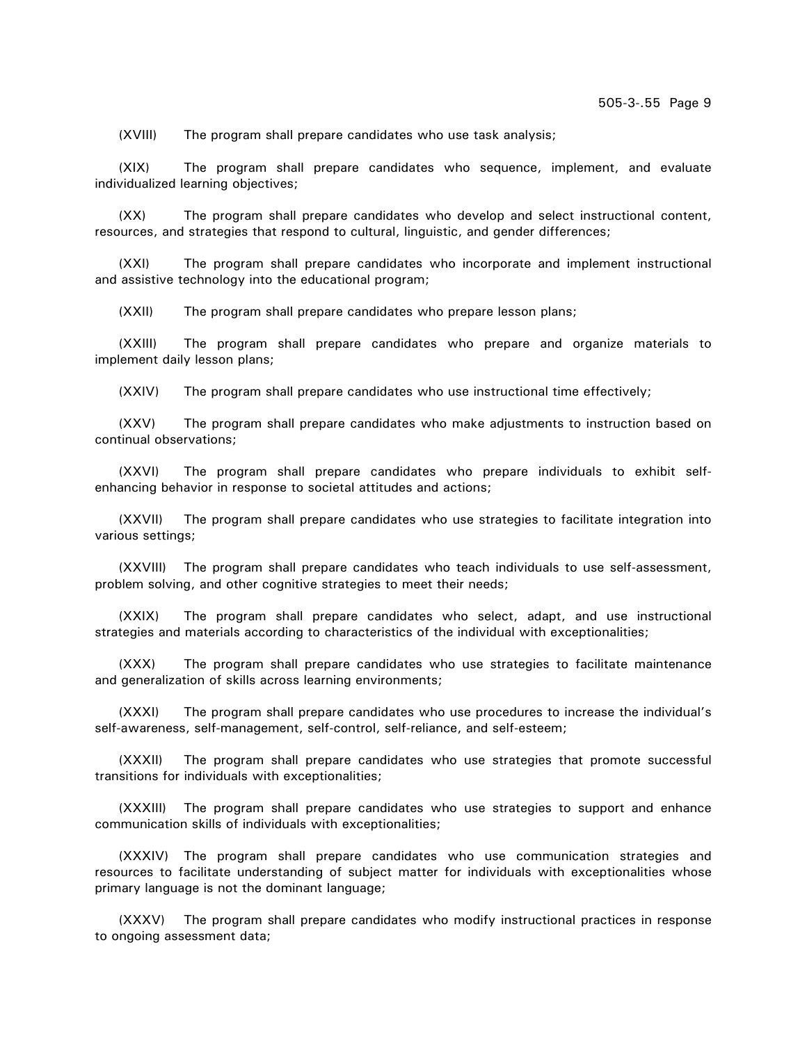(XVIII) The program shall prepare candidates who use task analysis;

(XIX) The program shall prepare candidates who sequence, implement, and evaluate individualized learning objectives;

(XX) The program shall prepare candidates who develop and select instructional content, resources, and strategies that respond to cultural, linguistic, and gender differences;

(XXI) The program shall prepare candidates who incorporate and implement instructional and assistive technology into the educational program;

(XXII) The program shall prepare candidates who prepare lesson plans;

(XXIII) The program shall prepare candidates who prepare and organize materials to implement daily lesson plans;

(XXIV) The program shall prepare candidates who use instructional time effectively;

(XXV) The program shall prepare candidates who make adjustments to instruction based on continual observations;

(XXVI) The program shall prepare candidates who prepare individuals to exhibit selfenhancing behavior in response to societal attitudes and actions;

(XXVII) The program shall prepare candidates who use strategies to facilitate integration into various settings;

(XXVIII) The program shall prepare candidates who teach individuals to use self-assessment, problem solving, and other cognitive strategies to meet their needs;

(XXIX) The program shall prepare candidates who select, adapt, and use instructional strategies and materials according to characteristics of the individual with exceptionalities;

(XXX) The program shall prepare candidates who use strategies to facilitate maintenance and generalization of skills across learning environments;

(XXXI) The program shall prepare candidates who use procedures to increase the individual's self-awareness, self-management, self-control, self-reliance, and self-esteem;

(XXXII) The program shall prepare candidates who use strategies that promote successful transitions for individuals with exceptionalities;

(XXXIII) The program shall prepare candidates who use strategies to support and enhance communication skills of individuals with exceptionalities;

(XXXIV) The program shall prepare candidates who use communication strategies and resources to facilitate understanding of subject matter for individuals with exceptionalities whose primary language is not the dominant language;

(XXXV) The program shall prepare candidates who modify instructional practices in response to ongoing assessment data;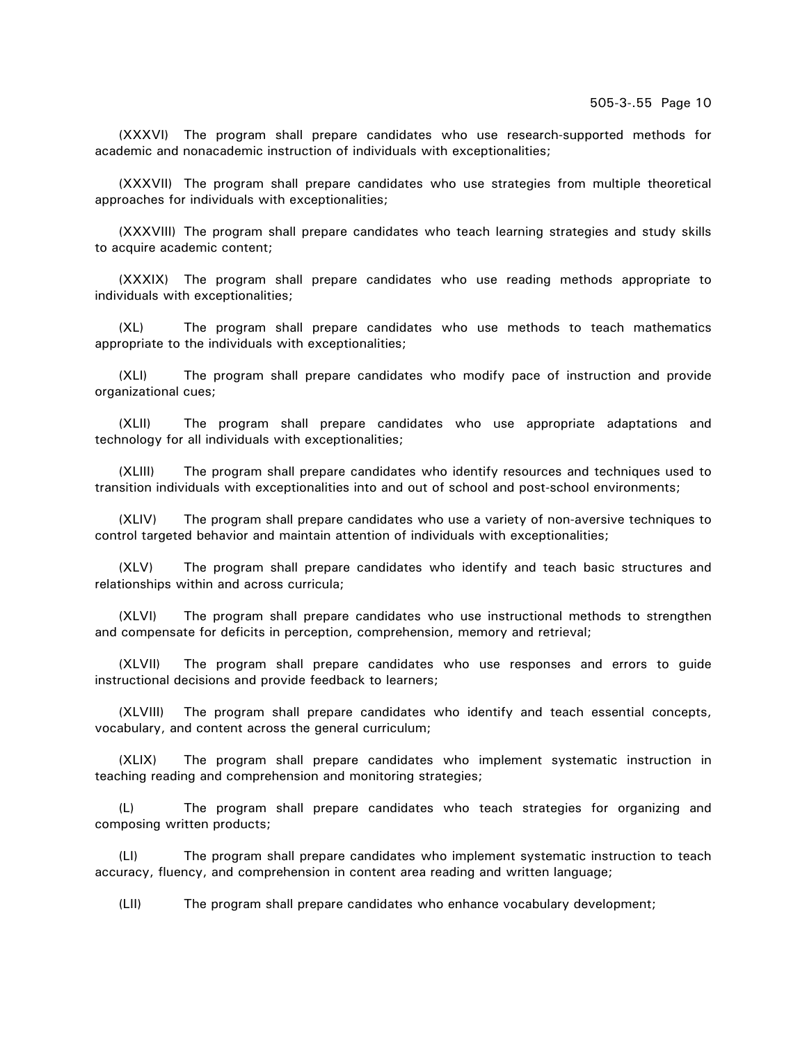(XXXVI) The program shall prepare candidates who use research-supported methods for academic and nonacademic instruction of individuals with exceptionalities;

(XXXVII) The program shall prepare candidates who use strategies from multiple theoretical approaches for individuals with exceptionalities;

(XXXVIII) The program shall prepare candidates who teach learning strategies and study skills to acquire academic content;

(XXXIX) The program shall prepare candidates who use reading methods appropriate to individuals with exceptionalities;

(XL) The program shall prepare candidates who use methods to teach mathematics appropriate to the individuals with exceptionalities;

(XLI) The program shall prepare candidates who modify pace of instruction and provide organizational cues;

(XLII) The program shall prepare candidates who use appropriate adaptations and technology for all individuals with exceptionalities;

(XLIII) The program shall prepare candidates who identify resources and techniques used to transition individuals with exceptionalities into and out of school and post-school environments;

(XLIV) The program shall prepare candidates who use a variety of non-aversive techniques to control targeted behavior and maintain attention of individuals with exceptionalities;

(XLV) The program shall prepare candidates who identify and teach basic structures and relationships within and across curricula;

(XLVI) The program shall prepare candidates who use instructional methods to strengthen and compensate for deficits in perception, comprehension, memory and retrieval;

(XLVII) The program shall prepare candidates who use responses and errors to guide instructional decisions and provide feedback to learners;

(XLVIII) The program shall prepare candidates who identify and teach essential concepts, vocabulary, and content across the general curriculum;

(XLIX) The program shall prepare candidates who implement systematic instruction in teaching reading and comprehension and monitoring strategies;

(L) The program shall prepare candidates who teach strategies for organizing and composing written products;

(LI) The program shall prepare candidates who implement systematic instruction to teach accuracy, fluency, and comprehension in content area reading and written language;

(LII) The program shall prepare candidates who enhance vocabulary development;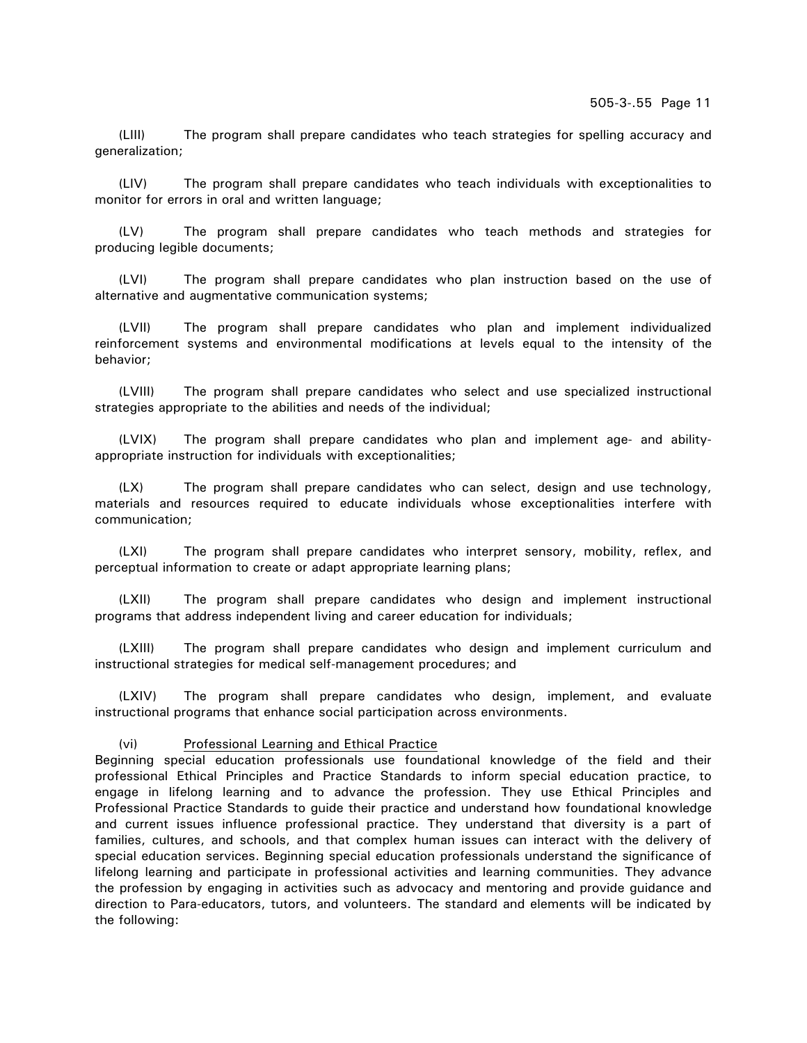(LIII) The program shall prepare candidates who teach strategies for spelling accuracy and generalization;

(LIV) The program shall prepare candidates who teach individuals with exceptionalities to monitor for errors in oral and written language;

(LV) The program shall prepare candidates who teach methods and strategies for producing legible documents;

(LVI) The program shall prepare candidates who plan instruction based on the use of alternative and augmentative communication systems;

(LVII) The program shall prepare candidates who plan and implement individualized reinforcement systems and environmental modifications at levels equal to the intensity of the behavior;

(LVIII) The program shall prepare candidates who select and use specialized instructional strategies appropriate to the abilities and needs of the individual;

(LVIX) The program shall prepare candidates who plan and implement age- and abilityappropriate instruction for individuals with exceptionalities;

(LX) The program shall prepare candidates who can select, design and use technology, materials and resources required to educate individuals whose exceptionalities interfere with communication;

(LXI) The program shall prepare candidates who interpret sensory, mobility, reflex, and perceptual information to create or adapt appropriate learning plans;

(LXII) The program shall prepare candidates who design and implement instructional programs that address independent living and career education for individuals;

(LXIII) The program shall prepare candidates who design and implement curriculum and instructional strategies for medical self-management procedures; and

(LXIV) The program shall prepare candidates who design, implement, and evaluate instructional programs that enhance social participation across environments.

(vi) Professional Learning and Ethical Practice

Beginning special education professionals use foundational knowledge of the field and their professional Ethical Principles and Practice Standards to inform special education practice, to engage in lifelong learning and to advance the profession. They use Ethical Principles and Professional Practice Standards to guide their practice and understand how foundational knowledge and current issues influence professional practice. They understand that diversity is a part of families, cultures, and schools, and that complex human issues can interact with the delivery of special education services. Beginning special education professionals understand the significance of lifelong learning and participate in professional activities and learning communities. They advance the profession by engaging in activities such as advocacy and mentoring and provide guidance and direction to Para-educators, tutors, and volunteers. The standard and elements will be indicated by the following: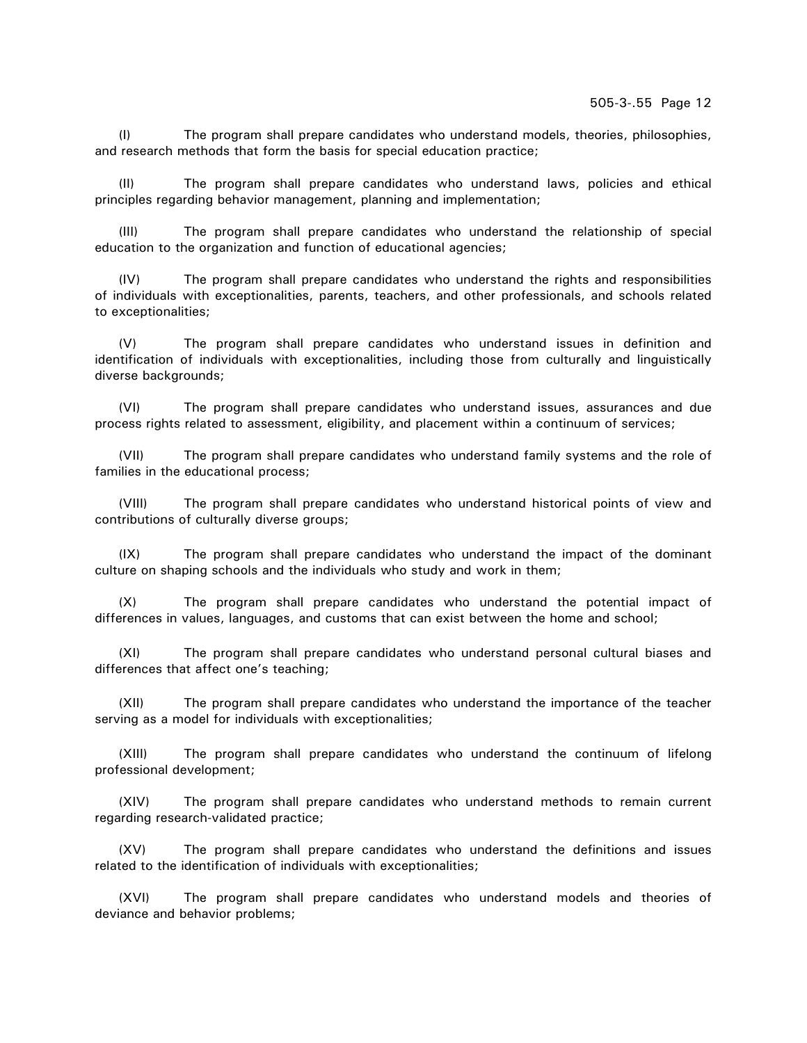(I) The program shall prepare candidates who understand models, theories, philosophies, and research methods that form the basis for special education practice;

(II) The program shall prepare candidates who understand laws, policies and ethical principles regarding behavior management, planning and implementation;

(III) The program shall prepare candidates who understand the relationship of special education to the organization and function of educational agencies;

(IV) The program shall prepare candidates who understand the rights and responsibilities of individuals with exceptionalities, parents, teachers, and other professionals, and schools related to exceptionalities;

(V) The program shall prepare candidates who understand issues in definition and identification of individuals with exceptionalities, including those from culturally and linguistically diverse backgrounds;

(VI) The program shall prepare candidates who understand issues, assurances and due process rights related to assessment, eligibility, and placement within a continuum of services;

(VII) The program shall prepare candidates who understand family systems and the role of families in the educational process;

(VIII) The program shall prepare candidates who understand historical points of view and contributions of culturally diverse groups;

(IX) The program shall prepare candidates who understand the impact of the dominant culture on shaping schools and the individuals who study and work in them;

(X) The program shall prepare candidates who understand the potential impact of differences in values, languages, and customs that can exist between the home and school;

(XI) The program shall prepare candidates who understand personal cultural biases and differences that affect one's teaching;

(XII) The program shall prepare candidates who understand the importance of the teacher serving as a model for individuals with exceptionalities;

(XIII) The program shall prepare candidates who understand the continuum of lifelong professional development;

(XIV) The program shall prepare candidates who understand methods to remain current regarding research-validated practice;

(XV) The program shall prepare candidates who understand the definitions and issues related to the identification of individuals with exceptionalities;

(XVI) The program shall prepare candidates who understand models and theories of deviance and behavior problems;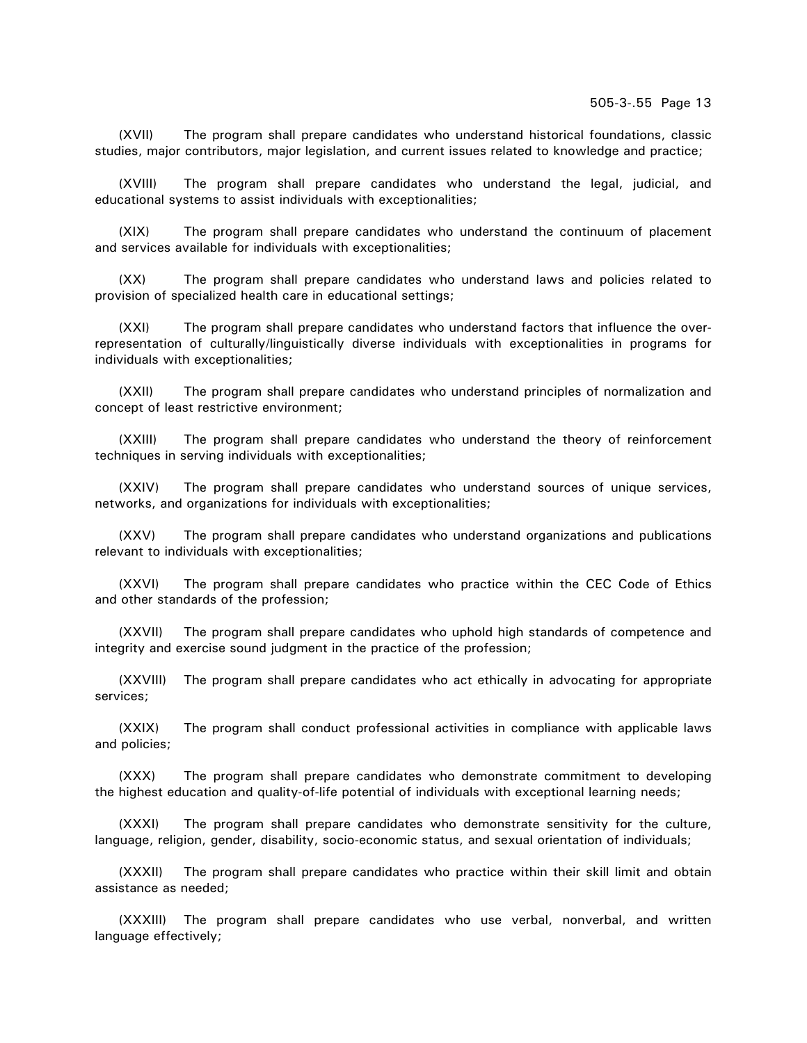(XVII) The program shall prepare candidates who understand historical foundations, classic studies, major contributors, major legislation, and current issues related to knowledge and practice;

(XVIII) The program shall prepare candidates who understand the legal, judicial, and educational systems to assist individuals with exceptionalities;

(XIX) The program shall prepare candidates who understand the continuum of placement and services available for individuals with exceptionalities;

(XX) The program shall prepare candidates who understand laws and policies related to provision of specialized health care in educational settings;

(XXI) The program shall prepare candidates who understand factors that influence the overrepresentation of culturally/linguistically diverse individuals with exceptionalities in programs for individuals with exceptionalities;

(XXII) The program shall prepare candidates who understand principles of normalization and concept of least restrictive environment;

(XXIII) The program shall prepare candidates who understand the theory of reinforcement techniques in serving individuals with exceptionalities;

(XXIV) The program shall prepare candidates who understand sources of unique services, networks, and organizations for individuals with exceptionalities;

(XXV) The program shall prepare candidates who understand organizations and publications relevant to individuals with exceptionalities;

(XXVI) The program shall prepare candidates who practice within the CEC Code of Ethics and other standards of the profession;

(XXVII) The program shall prepare candidates who uphold high standards of competence and integrity and exercise sound judgment in the practice of the profession;

(XXVIII) The program shall prepare candidates who act ethically in advocating for appropriate services;

(XXIX) The program shall conduct professional activities in compliance with applicable laws and policies;

(XXX) The program shall prepare candidates who demonstrate commitment to developing the highest education and quality-of-life potential of individuals with exceptional learning needs;

(XXXI) The program shall prepare candidates who demonstrate sensitivity for the culture, language, religion, gender, disability, socio-economic status, and sexual orientation of individuals;

(XXXII) The program shall prepare candidates who practice within their skill limit and obtain assistance as needed;

(XXXIII) The program shall prepare candidates who use verbal, nonverbal, and written language effectively;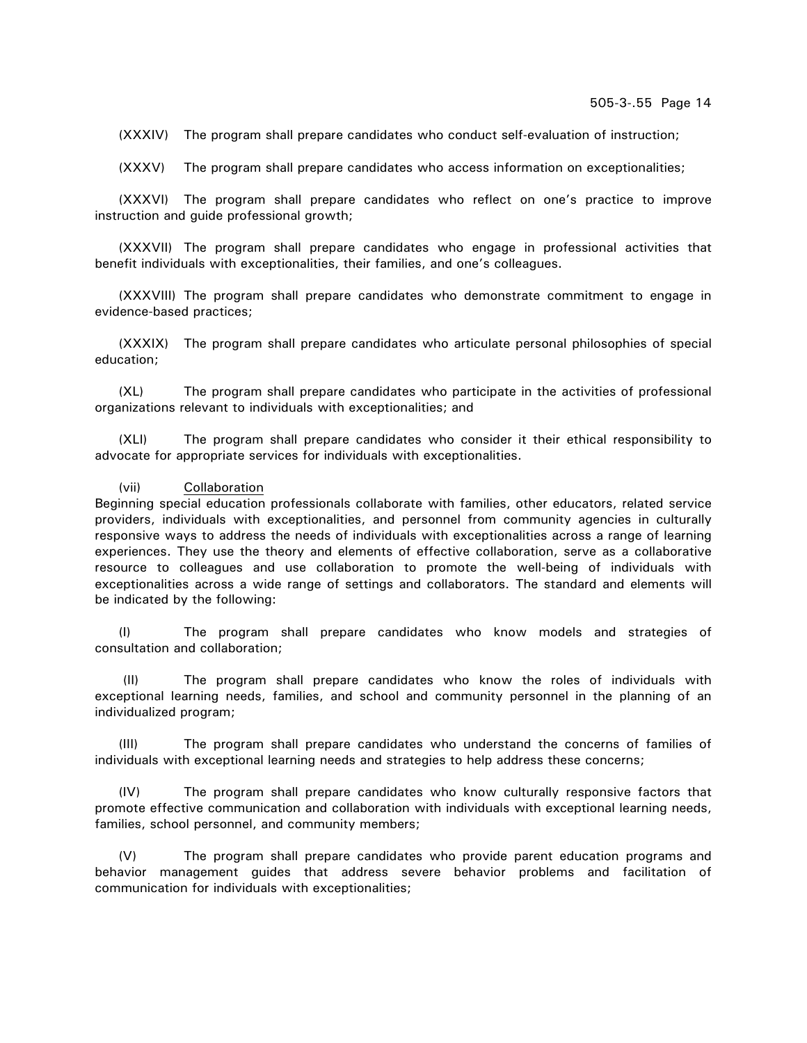(XXXIV) The program shall prepare candidates who conduct self-evaluation of instruction;

(XXXV) The program shall prepare candidates who access information on exceptionalities;

(XXXVI) The program shall prepare candidates who reflect on one's practice to improve instruction and guide professional growth;

(XXXVII) The program shall prepare candidates who engage in professional activities that benefit individuals with exceptionalities, their families, and one's colleagues.

(XXXVIII) The program shall prepare candidates who demonstrate commitment to engage in evidence-based practices;

(XXXIX) The program shall prepare candidates who articulate personal philosophies of special education;

(XL) The program shall prepare candidates who participate in the activities of professional organizations relevant to individuals with exceptionalities; and

(XLI) The program shall prepare candidates who consider it their ethical responsibility to advocate for appropriate services for individuals with exceptionalities.

#### (vii) Collaboration

Beginning special education professionals collaborate with families, other educators, related service providers, individuals with exceptionalities, and personnel from community agencies in culturally responsive ways to address the needs of individuals with exceptionalities across a range of learning experiences. They use the theory and elements of effective collaboration, serve as a collaborative resource to colleagues and use collaboration to promote the well-being of individuals with exceptionalities across a wide range of settings and collaborators. The standard and elements will be indicated by the following:

(I) The program shall prepare candidates who know models and strategies of consultation and collaboration;

 (II) The program shall prepare candidates who know the roles of individuals with exceptional learning needs, families, and school and community personnel in the planning of an individualized program;

(III) The program shall prepare candidates who understand the concerns of families of individuals with exceptional learning needs and strategies to help address these concerns;

(IV) The program shall prepare candidates who know culturally responsive factors that promote effective communication and collaboration with individuals with exceptional learning needs, families, school personnel, and community members;

(V) The program shall prepare candidates who provide parent education programs and behavior management guides that address severe behavior problems and facilitation of communication for individuals with exceptionalities;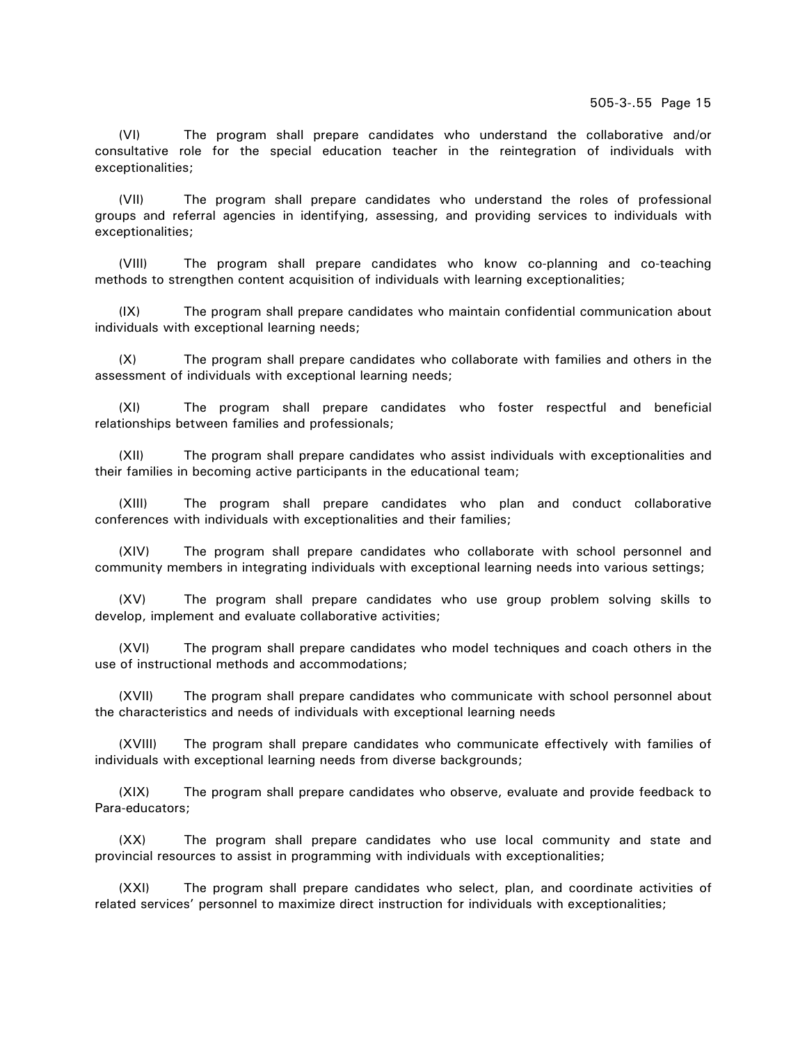(VI) The program shall prepare candidates who understand the collaborative and/or consultative role for the special education teacher in the reintegration of individuals with exceptionalities;

(VII) The program shall prepare candidates who understand the roles of professional groups and referral agencies in identifying, assessing, and providing services to individuals with exceptionalities;

(VIII) The program shall prepare candidates who know co-planning and co-teaching methods to strengthen content acquisition of individuals with learning exceptionalities;

(IX) The program shall prepare candidates who maintain confidential communication about individuals with exceptional learning needs;

(X) The program shall prepare candidates who collaborate with families and others in the assessment of individuals with exceptional learning needs;

(XI) The program shall prepare candidates who foster respectful and beneficial relationships between families and professionals;

(XII) The program shall prepare candidates who assist individuals with exceptionalities and their families in becoming active participants in the educational team;

(XIII) The program shall prepare candidates who plan and conduct collaborative conferences with individuals with exceptionalities and their families;

(XIV) The program shall prepare candidates who collaborate with school personnel and community members in integrating individuals with exceptional learning needs into various settings;

(XV) The program shall prepare candidates who use group problem solving skills to develop, implement and evaluate collaborative activities;

(XVI) The program shall prepare candidates who model techniques and coach others in the use of instructional methods and accommodations;

(XVII) The program shall prepare candidates who communicate with school personnel about the characteristics and needs of individuals with exceptional learning needs

(XVIII) The program shall prepare candidates who communicate effectively with families of individuals with exceptional learning needs from diverse backgrounds;

(XIX) The program shall prepare candidates who observe, evaluate and provide feedback to Para-educators;

(XX) The program shall prepare candidates who use local community and state and provincial resources to assist in programming with individuals with exceptionalities;

(XXI) The program shall prepare candidates who select, plan, and coordinate activities of related services' personnel to maximize direct instruction for individuals with exceptionalities;